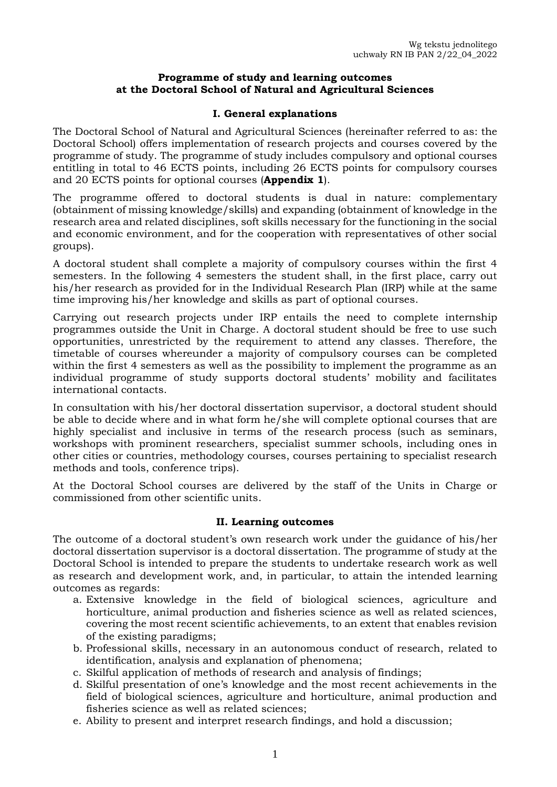### **Programme of study and learning outcomes at the Doctoral School of Natural and Agricultural Sciences**

## **I. General explanations**

The Doctoral School of Natural and Agricultural Sciences (hereinafter referred to as: the Doctoral School) offers implementation of research projects and courses covered by the programme of study. The programme of study includes compulsory and optional courses entitling in total to 46 ECTS points, including 26 ECTS points for compulsory courses and 20 ECTS points for optional courses (**Appendix 1**).

The programme offered to doctoral students is dual in nature: complementary (obtainment of missing knowledge/skills) and expanding (obtainment of knowledge in the research area and related disciplines, soft skills necessary for the functioning in the social and economic environment, and for the cooperation with representatives of other social groups).

A doctoral student shall complete a majority of compulsory courses within the first 4 semesters. In the following 4 semesters the student shall, in the first place, carry out his/her research as provided for in the Individual Research Plan (IRP) while at the same time improving his/her knowledge and skills as part of optional courses.

Carrying out research projects under IRP entails the need to complete internship programmes outside the Unit in Charge. A doctoral student should be free to use such opportunities, unrestricted by the requirement to attend any classes. Therefore, the timetable of courses whereunder a majority of compulsory courses can be completed within the first 4 semesters as well as the possibility to implement the programme as an individual programme of study supports doctoral students' mobility and facilitates international contacts.

In consultation with his/her doctoral dissertation supervisor, a doctoral student should be able to decide where and in what form he/she will complete optional courses that are highly specialist and inclusive in terms of the research process (such as seminars, workshops with prominent researchers, specialist summer schools, including ones in other cities or countries, methodology courses, courses pertaining to specialist research methods and tools, conference trips).

At the Doctoral School courses are delivered by the staff of the Units in Charge or commissioned from other scientific units.

## **II. Learning outcomes**

The outcome of a doctoral student's own research work under the guidance of his/her doctoral dissertation supervisor is a doctoral dissertation. The programme of study at the Doctoral School is intended to prepare the students to undertake research work as well as research and development work, and, in particular, to attain the intended learning outcomes as regards:

- a. Extensive knowledge in the field of biological sciences, agriculture and horticulture, animal production and fisheries science as well as related sciences, covering the most recent scientific achievements, to an extent that enables revision of the existing paradigms;
- b. Professional skills, necessary in an autonomous conduct of research, related to identification, analysis and explanation of phenomena;
- c. Skilful application of methods of research and analysis of findings;
- d. Skilful presentation of one's knowledge and the most recent achievements in the field of biological sciences, agriculture and horticulture, animal production and fisheries science as well as related sciences;
- e. Ability to present and interpret research findings, and hold a discussion;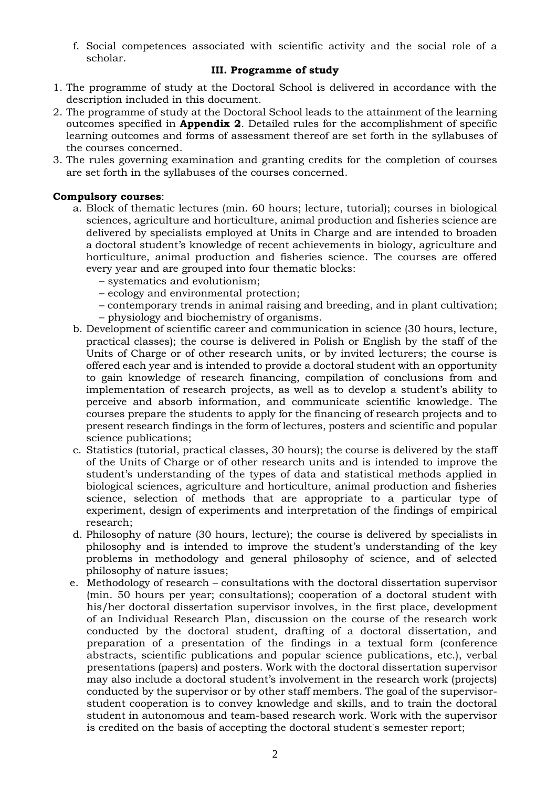f. Social competences associated with scientific activity and the social role of a scholar.

## **III. Programme of study**

- 1. The programme of study at the Doctoral School is delivered in accordance with the description included in this document.
- 2. The programme of study at the Doctoral School leads to the attainment of the learning outcomes specified in **Appendix 2**. Detailed rules for the accomplishment of specific learning outcomes and forms of assessment thereof are set forth in the syllabuses of the courses concerned.
- 3. The rules governing examination and granting credits for the completion of courses are set forth in the syllabuses of the courses concerned.

## **Compulsory courses**:

- a. Block of thematic lectures (min. 60 hours; lecture, tutorial); courses in biological sciences, agriculture and horticulture, animal production and fisheries science are delivered by specialists employed at Units in Charge and are intended to broaden a doctoral student's knowledge of recent achievements in biology, agriculture and horticulture, animal production and fisheries science. The courses are offered every year and are grouped into four thematic blocks:
	- systematics and evolutionism;
	- ecology and environmental protection;
	- contemporary trends in animal raising and breeding, and in plant cultivation;
	- physiology and biochemistry of organisms.
- b. Development of scientific career and communication in science (30 hours, lecture, practical classes); the course is delivered in Polish or English by the staff of the Units of Charge or of other research units, or by invited lecturers; the course is offered each year and is intended to provide a doctoral student with an opportunity to gain knowledge of research financing, compilation of conclusions from and implementation of research projects, as well as to develop a student's ability to perceive and absorb information, and communicate scientific knowledge. The courses prepare the students to apply for the financing of research projects and to present research findings in the form of lectures, posters and scientific and popular science publications;
- c. Statistics (tutorial, practical classes, 30 hours); the course is delivered by the staff of the Units of Charge or of other research units and is intended to improve the student's understanding of the types of data and statistical methods applied in biological sciences, agriculture and horticulture, animal production and fisheries science, selection of methods that are appropriate to a particular type of experiment, design of experiments and interpretation of the findings of empirical research;
- d. Philosophy of nature (30 hours, lecture); the course is delivered by specialists in philosophy and is intended to improve the student's understanding of the key problems in methodology and general philosophy of science, and of selected philosophy of nature issues;
- e. Methodology of research consultations with the doctoral dissertation supervisor (min. 50 hours per year; consultations); cooperation of a doctoral student with his/her doctoral dissertation supervisor involves, in the first place, development of an Individual Research Plan, discussion on the course of the research work conducted by the doctoral student, drafting of a doctoral dissertation, and preparation of a presentation of the findings in a textual form (conference abstracts, scientific publications and popular science publications, etc.), verbal presentations (papers) and posters. Work with the doctoral dissertation supervisor may also include a doctoral student's involvement in the research work (projects) conducted by the supervisor or by other staff members. The goal of the supervisorstudent cooperation is to convey knowledge and skills, and to train the doctoral student in autonomous and team-based research work. Work with the supervisor is credited on the basis of accepting the doctoral student's semester report;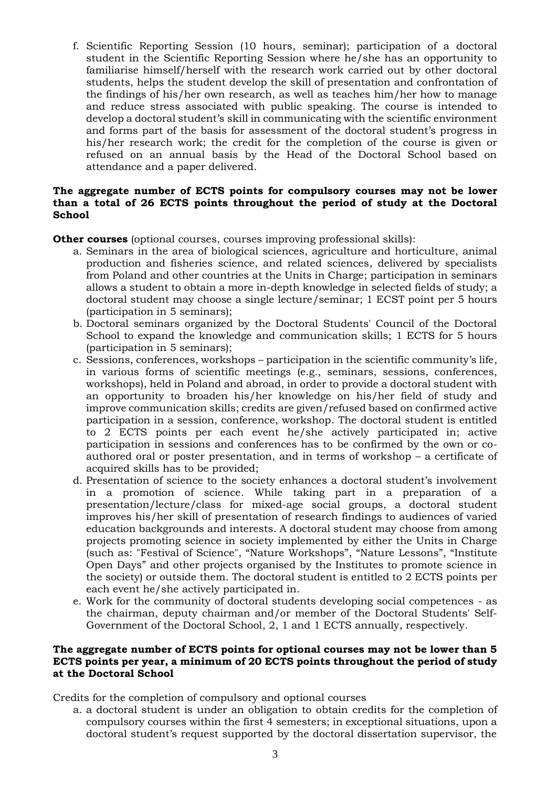f. Scientific Reporting Session (10 hours, seminar); participation of a doctoral student in the Scientific Reporting Session where he/she has an opportunity to familiarise himself/herself with the research work carried out by other doctoral students, helps the student develop the skill of presentation and confrontation of the findings of his/her own research, as well as teaches him/her how to manage and reduce stress associated with public speaking. The course is intended to develop a doctoral student's skill in communicating with the scientific environment and forms part of the basis for assessment of the doctoral student's progress in his/her research work; the credit for the completion of the course is given or refused on an annual basis by the Head of the Doctoral School based on attendance and a paper delivered.

### **The aggregate number of ECTS points for compulsory courses may not be lower than a total of 26 ECTS points throughout the period of study at the Doctoral School**

**Other courses** (optional courses, courses improving professional skills):

- a. Seminars in the area of biological sciences, agriculture and horticulture, animal production and fisheries science, and related sciences, delivered by specialists from Poland and other countries at the Units in Charge; participation in seminars allows a student to obtain a more in-depth knowledge in selected fields of study; a doctoral student may choose a single lecture/seminar; 1 ECST point per 5 hours (participation in 5 seminars);
- b. Doctoral seminars organized by the Doctoral Students' Council of the Doctoral School to expand the knowledge and communication skills; 1 ECTS for 5 hours (participation in 5 seminars);
- c. Sessions, conferences, workshops participation in the scientific community's life, in various forms of scientific meetings (e.g., seminars, sessions, conferences, workshops), held in Poland and abroad, in order to provide a doctoral student with an opportunity to broaden his/her knowledge on his/her field of study and improve communication skills; credits are given/refused based on confirmed active participation in a session, conference, workshop. The doctoral student is entitled to 2 ECTS points per each event he/she actively participated in; active participation in sessions and conferences has to be confirmed by the own or coauthored oral or poster presentation, and in terms of workshop – a certificate of acquired skills has to be provided;
- d. Presentation of science to the society enhances a doctoral student's involvement in a promotion of science. While taking part in a preparation of a presentation/lecture/class for mixed-age social groups, a doctoral student improves his/her skill of presentation of research findings to audiences of varied education backgrounds and interests. A doctoral student may choose from among projects promoting science in society implemented by either the Units in Charge (such as: "Festival of Science", "Nature Workshops", "Nature Lessons", "Institute Open Days" and other projects organised by the Institutes to promote science in the society) or outside them. The doctoral student is entitled to 2 ECTS points per each event he/she actively participated in.
- e. Work for the community of doctoral students developing social competences as the chairman, deputy chairman and/or member of the Doctoral Students' Self-Government of the Doctoral School, 2, 1 and 1 ECTS annually, respectively.

#### **The aggregate number of ECTS points for optional courses may not be lower than 5 ECTS points per year, a minimum of 20 ECTS points throughout the period of study at the Doctoral School**

Credits for the completion of compulsory and optional courses

a. a doctoral student is under an obligation to obtain credits for the completion of compulsory courses within the first 4 semesters; in exceptional situations, upon a doctoral student's request supported by the doctoral dissertation supervisor, the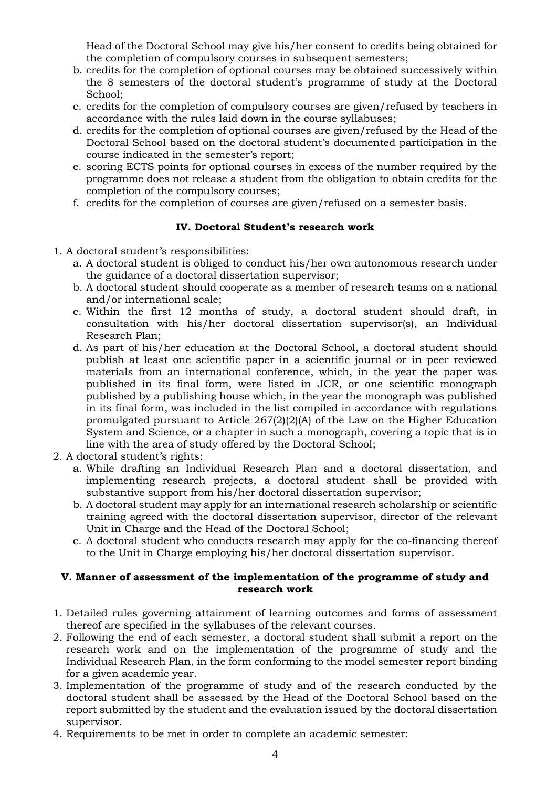Head of the Doctoral School may give his/her consent to credits being obtained for the completion of compulsory courses in subsequent semesters;

- b. credits for the completion of optional courses may be obtained successively within the 8 semesters of the doctoral student's programme of study at the Doctoral School;
- c. credits for the completion of compulsory courses are given/refused by teachers in accordance with the rules laid down in the course syllabuses;
- d. credits for the completion of optional courses are given/refused by the Head of the Doctoral School based on the doctoral student's documented participation in the course indicated in the semester's report;
- e. scoring ECTS points for optional courses in excess of the number required by the programme does not release a student from the obligation to obtain credits for the completion of the compulsory courses;
- f. credits for the completion of courses are given/refused on a semester basis.

## **IV. Doctoral Student's research work**

- 1. A doctoral student's responsibilities:
	- a. A doctoral student is obliged to conduct his/her own autonomous research under the guidance of a doctoral dissertation supervisor;
	- b. A doctoral student should cooperate as a member of research teams on a national and/or international scale;
	- c. Within the first 12 months of study, a doctoral student should draft, in consultation with his/her doctoral dissertation supervisor(s), an Individual Research Plan;
	- d. As part of his/her education at the Doctoral School, a doctoral student should publish at least one scientific paper in a scientific journal or in peer reviewed materials from an international conference, which, in the year the paper was published in its final form, were listed in JCR, or one scientific monograph published by a publishing house which, in the year the monograph was published in its final form, was included in the list compiled in accordance with regulations promulgated pursuant to Article 267(2)(2)(A) of the Law on the Higher Education System and Science, or a chapter in such a monograph, covering a topic that is in line with the area of study offered by the Doctoral School;
- 2. A doctoral student's rights:
	- a. While drafting an Individual Research Plan and a doctoral dissertation, and implementing research projects, a doctoral student shall be provided with substantive support from his/her doctoral dissertation supervisor;
	- b. A doctoral student may apply for an international research scholarship or scientific training agreed with the doctoral dissertation supervisor, director of the relevant Unit in Charge and the Head of the Doctoral School;
	- c. A doctoral student who conducts research may apply for the co-financing thereof to the Unit in Charge employing his/her doctoral dissertation supervisor.

## **V. Manner of assessment of the implementation of the programme of study and research work**

- 1. Detailed rules governing attainment of learning outcomes and forms of assessment thereof are specified in the syllabuses of the relevant courses.
- 2. Following the end of each semester, a doctoral student shall submit a report on the research work and on the implementation of the programme of study and the Individual Research Plan, in the form conforming to the model semester report binding for a given academic year.
- 3. Implementation of the programme of study and of the research conducted by the doctoral student shall be assessed by the Head of the Doctoral School based on the report submitted by the student and the evaluation issued by the doctoral dissertation supervisor.
- 4. Requirements to be met in order to complete an academic semester: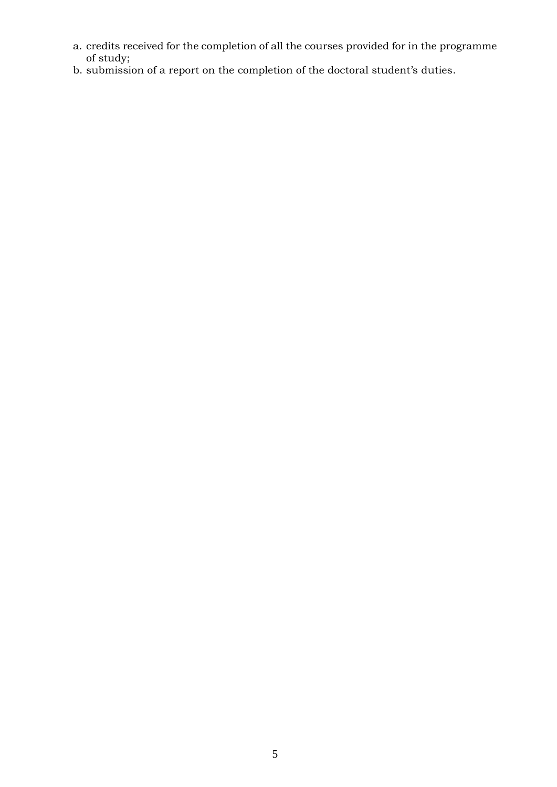- a. credits received for the completion of all the courses provided for in the programme of study;
- b. submission of a report on the completion of the doctoral student's duties.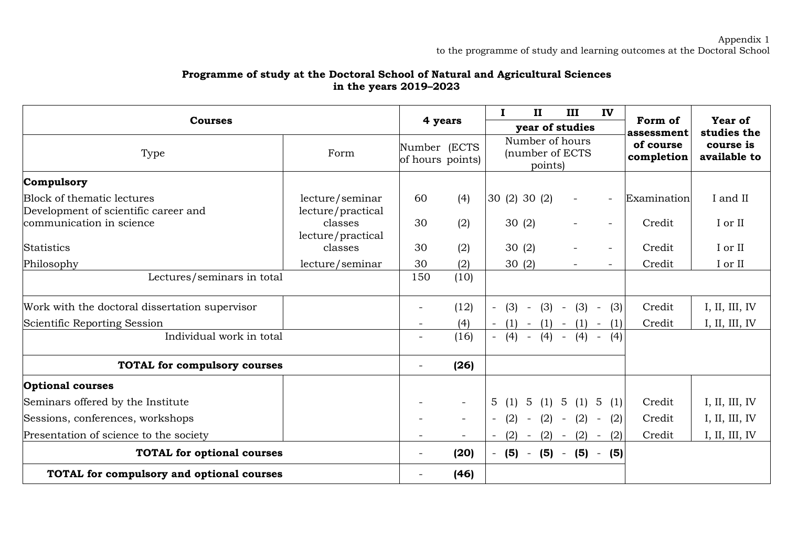## **Programme of study at the Doctoral School of Natural and Agricultural Sciences in the years 2019–2023**

| <b>Courses</b>                                                     |                                      |                          | 4 years                          | $\bf{I}$<br>$\mathbf{I}$                      | III                      | IV                       | Form of                 | <b>Year of</b>            |  |            |             |
|--------------------------------------------------------------------|--------------------------------------|--------------------------|----------------------------------|-----------------------------------------------|--------------------------|--------------------------|-------------------------|---------------------------|--|------------|-------------|
|                                                                    |                                      |                          |                                  | year of studies                               |                          |                          |                         |                           |  | assessment | studies the |
| Type<br>Form                                                       |                                      |                          | Number (ECTS<br>of hours points) | Number of hours<br>(number of ECTS<br>points) |                          |                          | of course<br>completion | course is<br>available to |  |            |             |
| Compulsory                                                         |                                      |                          |                                  |                                               |                          |                          |                         |                           |  |            |             |
| Block of thematic lectures<br>Development of scientific career and | lecture/seminar<br>lecture/practical | 60                       | (4)                              | 30 (2) 30 (2)                                 | $\overline{\phantom{a}}$ | $\overline{\phantom{a}}$ | Examination             | I and II                  |  |            |             |
| communication in science                                           | classes<br>lecture/practical         | 30                       | (2)                              | 30(2)                                         | $-$                      | $\overline{\phantom{a}}$ | Credit                  | I or II                   |  |            |             |
| <b>Statistics</b>                                                  | classes                              | 30                       | (2)                              | 30(2)                                         |                          | $\overline{\phantom{a}}$ | Credit                  | I or II                   |  |            |             |
| Philosophy                                                         | lecture/seminar                      | 30                       | (2)                              | 30(2)                                         | $\overline{\phantom{0}}$ |                          | Credit                  | I or II                   |  |            |             |
| Lectures/seminars in total                                         |                                      | 150                      | (10)                             |                                               |                          |                          |                         |                           |  |            |             |
| Work with the doctoral dissertation supervisor                     |                                      |                          | (12)                             | (3)<br>$\overline{\phantom{a}}$<br>$\sim$     | $(3) - (3) -$            | (3)                      | Credit                  | I, II, III, IV            |  |            |             |
| Scientific Reporting Session                                       |                                      |                          | (4)                              | $(1) - (1) - (1) -$                           |                          | (1)                      | Credit                  | I, II, III, IV            |  |            |             |
| Individual work in total                                           |                                      |                          | (16)                             | (4)<br>$(4) -$<br>$\sim$ $-$                  | (4)                      | (4)                      |                         |                           |  |            |             |
| <b>TOTAL for compulsory courses</b>                                |                                      | $\overline{\phantom{a}}$ | (26)                             |                                               |                          |                          |                         |                           |  |            |             |
| <b>Optional courses</b>                                            |                                      |                          |                                  |                                               |                          |                          |                         |                           |  |            |             |
| Seminars offered by the Institute                                  |                                      |                          | $\overline{\phantom{a}}$         | 5<br>$5\overline{)}$<br>(1)                   | (1) 5 (1) 5 (1)          |                          | Credit                  | I, II, III, IV            |  |            |             |
| Sessions, conferences, workshops                                   |                                      |                          | $\overline{\phantom{a}}$         | (2)<br>$\overline{\phantom{a}}$<br>$\sim$     | $(2) - (2)$              | (2)<br>$\sim$ $-$        | Credit                  | I, II, III, IV            |  |            |             |
| Presentation of science to the society                             |                                      |                          | $\overline{\phantom{a}}$         | (2)<br>$(2) -$<br>$\overline{\phantom{0}}$    |                          | $(2) - (2)$              | Credit                  | I, II, III, IV            |  |            |             |
| <b>TOTAL for optional courses</b>                                  |                                      |                          | (20)                             | $-$ (5) $-$ (5) $-$ (5) $-$                   |                          | (5)                      |                         |                           |  |            |             |
| TOTAL for compulsory and optional courses                          |                                      |                          | (46)                             |                                               |                          |                          |                         |                           |  |            |             |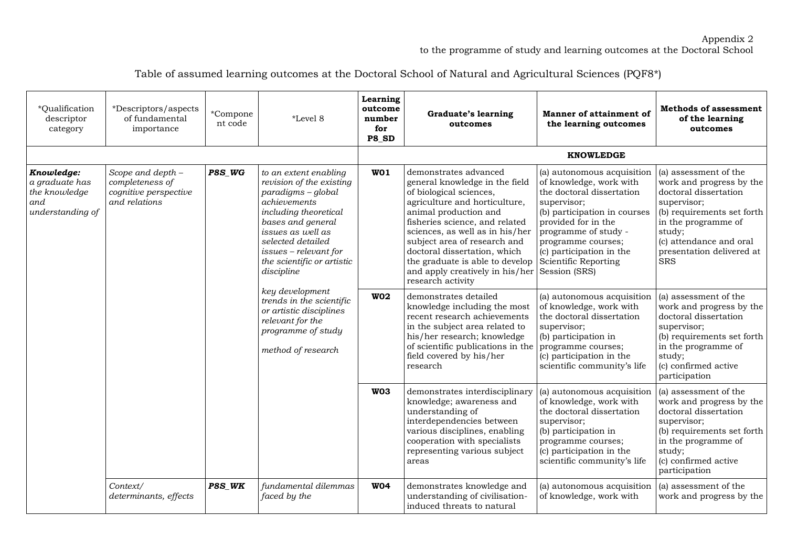#### Appendix 2 to the programme of study and learning outcomes at the Doctoral School

| Table of assumed learning outcomes at the Doctoral School of Natural and Agricultural Sciences (PQF8*) |  |
|--------------------------------------------------------------------------------------------------------|--|
|                                                                                                        |  |

| *Qualification<br>descriptor<br>category                                 | *Descriptors/aspects<br>of fundamental<br>importance                           | *Compone<br>nt code                                                                                                                                                                                                                                                                                                                                                          | *Level 8                             | Learning<br>outcome<br>number<br>for<br>P8 SD                                                                                                                                                                                                                                                                                                                                | <b>Graduate's learning</b><br>outcomes                                                                                                                                                                                                                                             | Manner of attainment of<br>the learning outcomes                                                                                                                                                                               | <b>Methods of assessment</b><br>of the learning<br>outcomes                                                                                                                                                                         |                                                                                                                                                                                                            |
|--------------------------------------------------------------------------|--------------------------------------------------------------------------------|------------------------------------------------------------------------------------------------------------------------------------------------------------------------------------------------------------------------------------------------------------------------------------------------------------------------------------------------------------------------------|--------------------------------------|------------------------------------------------------------------------------------------------------------------------------------------------------------------------------------------------------------------------------------------------------------------------------------------------------------------------------------------------------------------------------|------------------------------------------------------------------------------------------------------------------------------------------------------------------------------------------------------------------------------------------------------------------------------------|--------------------------------------------------------------------------------------------------------------------------------------------------------------------------------------------------------------------------------|-------------------------------------------------------------------------------------------------------------------------------------------------------------------------------------------------------------------------------------|------------------------------------------------------------------------------------------------------------------------------------------------------------------------------------------------------------|
|                                                                          |                                                                                |                                                                                                                                                                                                                                                                                                                                                                              |                                      |                                                                                                                                                                                                                                                                                                                                                                              |                                                                                                                                                                                                                                                                                    | <b>KNOWLEDGE</b>                                                                                                                                                                                                               |                                                                                                                                                                                                                                     |                                                                                                                                                                                                            |
| Knowledge:<br>a graduate has<br>the knowledge<br>and<br>understanding of | Scope and depth -<br>completeness of<br>cognitive perspective<br>and relations | P8S_WG<br>to an extent enabling<br>revision of the existing<br>paradigms - global<br>achievements<br>including theoretical<br>bases and general<br>issues as well as<br>selected detailed<br>issues - relevant for<br>the scientific or artistic<br>discipline<br>key development<br>or artistic disciplines<br>relevant for the<br>programme of study<br>method of research | WO1                                  | demonstrates advanced<br>general knowledge in the field<br>of biological sciences,<br>agriculture and horticulture,<br>animal production and<br>fisheries science, and related<br>sciences, as well as in his/her<br>subject area of research and<br>doctoral dissertation, which<br>the graduate is able to develop<br>and apply creatively in his/her<br>research activity | (a) autonomous acquisition<br>of knowledge, work with<br>the doctoral dissertation<br>supervisor;<br>(b) participation in courses<br>provided for in the<br>programme of study -<br>programme courses;<br>(c) participation in the<br><b>Scientific Reporting</b><br>Session (SRS) | (a) assessment of the<br>work and progress by the<br>doctoral dissertation<br>supervisor;<br>(b) requirements set forth<br>in the programme of<br>study;<br>(c) attendance and oral<br>presentation delivered at<br><b>SRS</b> |                                                                                                                                                                                                                                     |                                                                                                                                                                                                            |
|                                                                          |                                                                                |                                                                                                                                                                                                                                                                                                                                                                              | trends in the scientific             |                                                                                                                                                                                                                                                                                                                                                                              |                                                                                                                                                                                                                                                                                    | <b>W02</b>                                                                                                                                                                                                                     | demonstrates detailed<br>knowledge including the most<br>recent research achievements<br>in the subject area related to<br>his/her research; knowledge<br>of scientific publications in the<br>field covered by his/her<br>research | (a) autonomous acquisition<br>of knowledge, work with<br>the doctoral dissertation<br>supervisor;<br>(b) participation in<br>programme courses;<br>(c) participation in the<br>scientific community's life |
|                                                                          |                                                                                |                                                                                                                                                                                                                                                                                                                                                                              | W <sub>03</sub>                      | demonstrates interdisciplinary<br>knowledge; awareness and<br>understanding of<br>interdependencies between<br>various disciplines, enabling<br>cooperation with specialists<br>representing various subject<br>areas                                                                                                                                                        | (a) autonomous acquisition<br>of knowledge, work with<br>the doctoral dissertation<br>supervisor;<br>(b) participation in<br>programme courses;<br>(c) participation in the<br>scientific community's life                                                                         | (a) assessment of the<br>work and progress by the<br>doctoral dissertation<br>supervisor;<br>(b) requirements set forth<br>in the programme of<br>study;<br>(c) confirmed active<br>participation                              |                                                                                                                                                                                                                                     |                                                                                                                                                                                                            |
|                                                                          | Context/<br>determinants, effects                                              | P8S_WK                                                                                                                                                                                                                                                                                                                                                                       | fundamental dilemmas<br>faced by the | <b>W04</b>                                                                                                                                                                                                                                                                                                                                                                   | demonstrates knowledge and<br>understanding of civilisation-<br>induced threats to natural                                                                                                                                                                                         | (a) autonomous acquisition<br>of knowledge, work with                                                                                                                                                                          | (a) assessment of the<br>work and progress by the                                                                                                                                                                                   |                                                                                                                                                                                                            |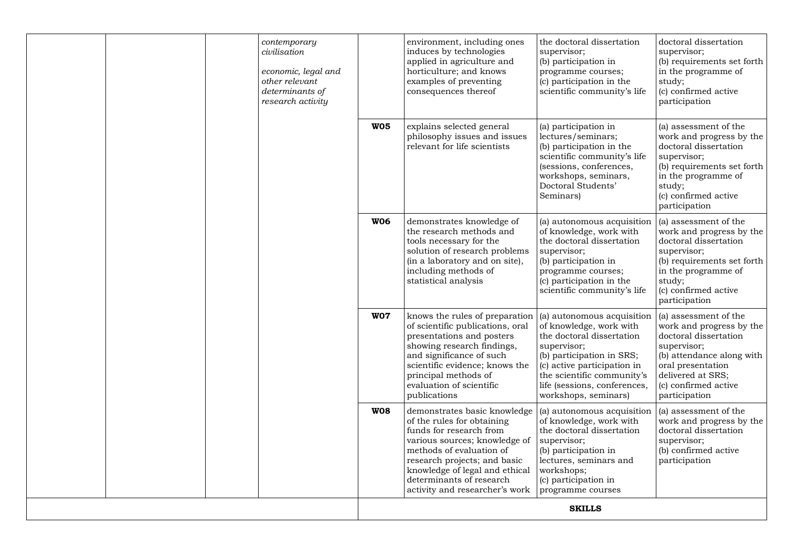| contemporary<br>civilisation<br>economic, legal and<br>other relevant<br>determinants of<br>research activity |                 | environment, including ones<br>induces by technologies<br>applied in agriculture and<br>horticulture; and knows<br>examples of preventing<br>consequences thereof                                                                                                                  | the doctoral dissertation<br>supervisor;<br>(b) participation in<br>programme courses;<br>(c) participation in the<br>scientific community's life                                                                                                   | doctoral dissertation<br>supervisor;<br>(b) requirements set forth<br>in the programme of<br>study;<br>(c) confirmed active<br>participation                                                              |
|---------------------------------------------------------------------------------------------------------------|-----------------|------------------------------------------------------------------------------------------------------------------------------------------------------------------------------------------------------------------------------------------------------------------------------------|-----------------------------------------------------------------------------------------------------------------------------------------------------------------------------------------------------------------------------------------------------|-----------------------------------------------------------------------------------------------------------------------------------------------------------------------------------------------------------|
|                                                                                                               | <b>W05</b>      | explains selected general<br>philosophy issues and issues<br>relevant for life scientists                                                                                                                                                                                          | (a) participation in<br>lectures/seminars;<br>(b) participation in the<br>scientific community's life<br>(sessions, conferences,<br>workshops, seminars,<br>Doctoral Students'<br>Seminars)                                                         | (a) assessment of the<br>work and progress by the<br>doctoral dissertation<br>supervisor;<br>(b) requirements set forth<br>in the programme of<br>study;<br>(c) confirmed active<br>participation         |
|                                                                                                               | <b>W06</b>      | demonstrates knowledge of<br>the research methods and<br>tools necessary for the<br>solution of research problems<br>(in a laboratory and on site),<br>including methods of<br>statistical analysis                                                                                | (a) autonomous acquisition<br>of knowledge, work with<br>the doctoral dissertation<br>supervisor;<br>(b) participation in<br>programme courses;<br>(c) participation in the<br>scientific community's life                                          | (a) assessment of the<br>work and progress by the<br>doctoral dissertation<br>supervisor;<br>(b) requirements set forth<br>in the programme of<br>study;<br>(c) confirmed active<br>participation         |
|                                                                                                               | W <sub>07</sub> | knows the rules of preparation<br>of scientific publications, oral<br>presentations and posters<br>showing research findings,<br>and significance of such<br>scientific evidence; knows the<br>principal methods of<br>evaluation of scientific<br>publications                    | (a) autonomous acquisition<br>of knowledge, work with<br>the doctoral dissertation<br>supervisor;<br>(b) participation in SRS;<br>(c) active participation in<br>the scientific community's<br>life (sessions, conferences,<br>workshops, seminars) | (a) assessment of the<br>work and progress by the<br>doctoral dissertation<br>supervisor;<br>(b) attendance along with<br>oral presentation<br>delivered at SRS;<br>(c) confirmed active<br>participation |
|                                                                                                               | <b>W08</b>      | demonstrates basic knowledge<br>of the rules for obtaining<br>funds for research from<br>various sources; knowledge of<br>methods of evaluation of<br>research projects; and basic<br>knowledge of legal and ethical<br>determinants of research<br>activity and researcher's work | (a) autonomous acquisition<br>of knowledge, work with<br>the doctoral dissertation<br>supervisor;<br>(b) participation in<br>lectures, seminars and<br>workshops;<br>(c) participation in<br>programme courses                                      | (a) assessment of the<br>work and progress by the<br>doctoral dissertation<br>supervisor;<br>(b) confirmed active<br>participation                                                                        |
|                                                                                                               |                 |                                                                                                                                                                                                                                                                                    | <b>SKILLS</b>                                                                                                                                                                                                                                       |                                                                                                                                                                                                           |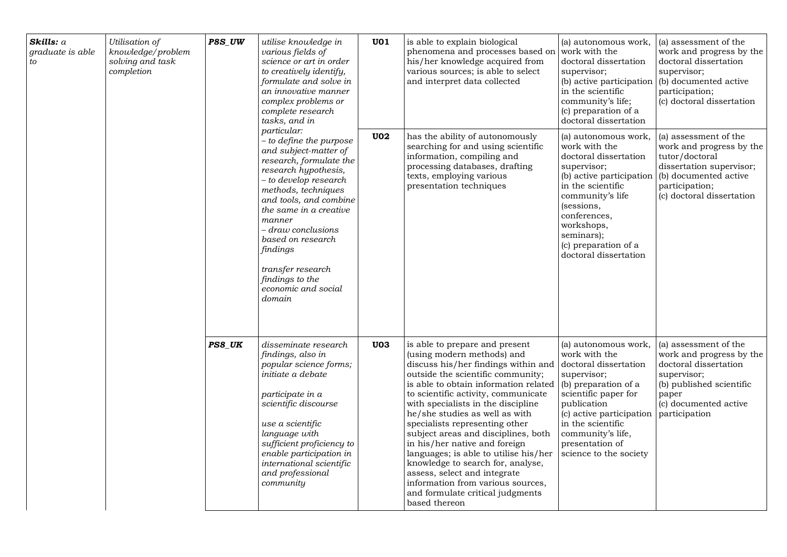| Skills: a<br>graduate is able<br>to | Utilisation of<br>knowledge/problem<br>solving and task<br>completion | P8S_UW<br>utilise knowledge in<br>various fields of<br>to creatively identify,<br>complex problems or<br>complete research<br>tasks, and in<br>particular:<br>and subject-matter of<br>research hypothesis,<br>- to develop research<br>methods, techniques<br>manner<br>- draw conclusions<br>based on research<br>findings<br>transfer research<br>findings to the<br>economic and social<br>domain<br>PS8_UK<br>disseminate research<br>findings, also in<br>popular science forms;<br>initiate a debate<br>participate in a<br>scientific discourse<br>use a scientific<br>language with<br>sufficient proficiency to<br>enable participation in<br>international scientific<br>and professional<br>community | science or art in order<br>formulate and solve in<br>an innovative manner<br>- to define the purpose<br>research, formulate the<br>and tools, and combine<br>the same in a creative | <b>U01</b>                                                                                                                                                                                                                                                                                                                                                                                                                                                                                                                                                                                                         | is able to explain biological<br>phenomena and processes based on<br>his/her knowledge acquired from<br>various sources; is able to select<br>and interpret data collected                                                                                      | (a) autonomous work,<br>work with the<br>doctoral dissertation<br>supervisor;<br>(b) active participation<br>in the scientific<br>community's life;<br>(c) preparation of a<br>doctoral dissertation                                                          | (a) assessment of the<br>work and progress by the<br>doctoral dissertation<br>supervisor;<br>(b) documented active<br>participation;<br>(c) doctoral dissertation       |
|-------------------------------------|-----------------------------------------------------------------------|-------------------------------------------------------------------------------------------------------------------------------------------------------------------------------------------------------------------------------------------------------------------------------------------------------------------------------------------------------------------------------------------------------------------------------------------------------------------------------------------------------------------------------------------------------------------------------------------------------------------------------------------------------------------------------------------------------------------|-------------------------------------------------------------------------------------------------------------------------------------------------------------------------------------|--------------------------------------------------------------------------------------------------------------------------------------------------------------------------------------------------------------------------------------------------------------------------------------------------------------------------------------------------------------------------------------------------------------------------------------------------------------------------------------------------------------------------------------------------------------------------------------------------------------------|-----------------------------------------------------------------------------------------------------------------------------------------------------------------------------------------------------------------------------------------------------------------|---------------------------------------------------------------------------------------------------------------------------------------------------------------------------------------------------------------------------------------------------------------|-------------------------------------------------------------------------------------------------------------------------------------------------------------------------|
|                                     |                                                                       |                                                                                                                                                                                                                                                                                                                                                                                                                                                                                                                                                                                                                                                                                                                   |                                                                                                                                                                                     | U02                                                                                                                                                                                                                                                                                                                                                                                                                                                                                                                                                                                                                | has the ability of autonomously<br>searching for and using scientific<br>information, compiling and<br>processing databases, drafting<br>texts, employing various<br>presentation techniques                                                                    | (a) autonomous work,<br>work with the<br>doctoral dissertation<br>supervisor;<br>(b) active participation<br>in the scientific<br>community's life<br>(sessions,<br>conferences,<br>workshops,<br>seminars);<br>(c) preparation of a<br>doctoral dissertation | (a) assessment of the<br>work and progress by the<br>tutor/doctoral<br>dissertation supervisor;<br>(b) documented active<br>participation;<br>(c) doctoral dissertation |
|                                     |                                                                       |                                                                                                                                                                                                                                                                                                                                                                                                                                                                                                                                                                                                                                                                                                                   | <b>U03</b>                                                                                                                                                                          | is able to prepare and present<br>(using modern methods) and<br>discuss his/her findings within and<br>outside the scientific community;<br>is able to obtain information related<br>to scientific activity, communicate<br>with specialists in the discipline<br>he/she studies as well as with<br>specialists representing other<br>subject areas and disciplines, both<br>in his/her native and foreign<br>languages; is able to utilise his/her<br>knowledge to search for, analyse,<br>assess, select and integrate<br>information from various sources,<br>and formulate critical judgments<br>based thereon | (a) autonomous work,<br>work with the<br>doctoral dissertation<br>supervisor;<br>(b) preparation of a<br>scientific paper for<br>publication<br>(c) active participation<br>in the scientific<br>community's life,<br>presentation of<br>science to the society | (a) assessment of the<br>work and progress by the<br>doctoral dissertation<br>supervisor;<br>(b) published scientific<br>paper<br>(c) documented active<br>participation                                                                                      |                                                                                                                                                                         |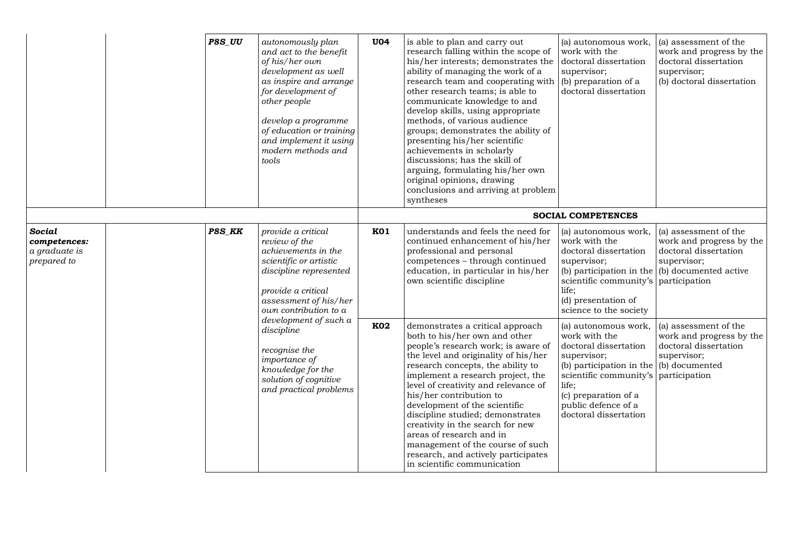|                                                        |        | P8S_UU                                                                                                                                        | autonomously plan<br>and act to the benefit<br>of his/her own<br>development as well<br>as inspire and arrange<br>for development of<br>other people<br>develop a programme<br>of education or training<br>and implement it using<br>modern methods and<br>tools | <b>U04</b>                                                                                                                                                                                                                                                                                                                                                                                                                                                                                                                                   | is able to plan and carry out<br>research falling within the scope of<br>his/her interests; demonstrates the<br>ability of managing the work of a<br>research team and cooperating with<br>other research teams; is able to<br>communicate knowledge to and<br>develop skills, using appropriate<br>methods, of various audience<br>groups; demonstrates the ability of<br>presenting his/her scientific<br>achievements in scholarly<br>discussions; has the skill of<br>arguing, formulating his/her own<br>original opinions, drawing<br>conclusions and arriving at problem<br>syntheses | (a) autonomous work,<br>work with the<br>doctoral dissertation<br>supervisor;<br>(b) preparation of a<br>doctoral dissertation                                                                                              | (a) assessment of the<br>work and progress by the<br>doctoral dissertation<br>supervisor;<br>(b) doctoral dissertation |
|--------------------------------------------------------|--------|-----------------------------------------------------------------------------------------------------------------------------------------------|------------------------------------------------------------------------------------------------------------------------------------------------------------------------------------------------------------------------------------------------------------------|----------------------------------------------------------------------------------------------------------------------------------------------------------------------------------------------------------------------------------------------------------------------------------------------------------------------------------------------------------------------------------------------------------------------------------------------------------------------------------------------------------------------------------------------|----------------------------------------------------------------------------------------------------------------------------------------------------------------------------------------------------------------------------------------------------------------------------------------------------------------------------------------------------------------------------------------------------------------------------------------------------------------------------------------------------------------------------------------------------------------------------------------------|-----------------------------------------------------------------------------------------------------------------------------------------------------------------------------------------------------------------------------|------------------------------------------------------------------------------------------------------------------------|
|                                                        |        |                                                                                                                                               |                                                                                                                                                                                                                                                                  |                                                                                                                                                                                                                                                                                                                                                                                                                                                                                                                                              |                                                                                                                                                                                                                                                                                                                                                                                                                                                                                                                                                                                              | <b>SOCIAL COMPETENCES</b>                                                                                                                                                                                                   |                                                                                                                        |
| Social<br>competences:<br>a graduate is<br>prepared to | P8S_KK |                                                                                                                                               | provide a critical<br>review of the<br>achievements in the<br>scientific or artistic<br>discipline represented<br>provide a critical<br>assessment of his/her<br>own contribution to a                                                                           | <b>K01</b>                                                                                                                                                                                                                                                                                                                                                                                                                                                                                                                                   | understands and feels the need for<br>continued enhancement of his/her<br>professional and personal<br>competences - through continued<br>education, in particular in his/her<br>own scientific discipline                                                                                                                                                                                                                                                                                                                                                                                   | (a) autonomous work,<br>work with the<br>doctoral dissertation<br>supervisor;<br>(b) participation in the $\vert$ (b) documented active<br>scientific community's<br>life;<br>(d) presentation of<br>science to the society | (a) assessment of the<br>work and progress by the<br>doctoral dissertation<br>supervisor;<br>participation             |
|                                                        |        | development of such a<br>discipline<br>recognise the<br>importance of<br>knowledge for the<br>solution of cognitive<br>and practical problems | <b>K02</b>                                                                                                                                                                                                                                                       | demonstrates a critical approach<br>both to his/her own and other<br>people's research work; is aware of<br>the level and originality of his/her<br>research concepts, the ability to<br>implement a research project, the<br>level of creativity and relevance of<br>his/her contribution to<br>development of the scientific<br>discipline studied; demonstrates<br>creativity in the search for new<br>areas of research and in<br>management of the course of such<br>research, and actively participates<br>in scientific communication | (a) autonomous work,<br>work with the<br>doctoral dissertation<br>supervisor;<br>(b) participation in the $($ b) documented<br>scientific community's<br>life;<br>(c) preparation of a<br>public defence of a<br>doctoral dissertation                                                                                                                                                                                                                                                                                                                                                       | (a) assessment of the<br>work and progress by the<br>doctoral dissertation<br>supervisor;<br>participation                                                                                                                  |                                                                                                                        |